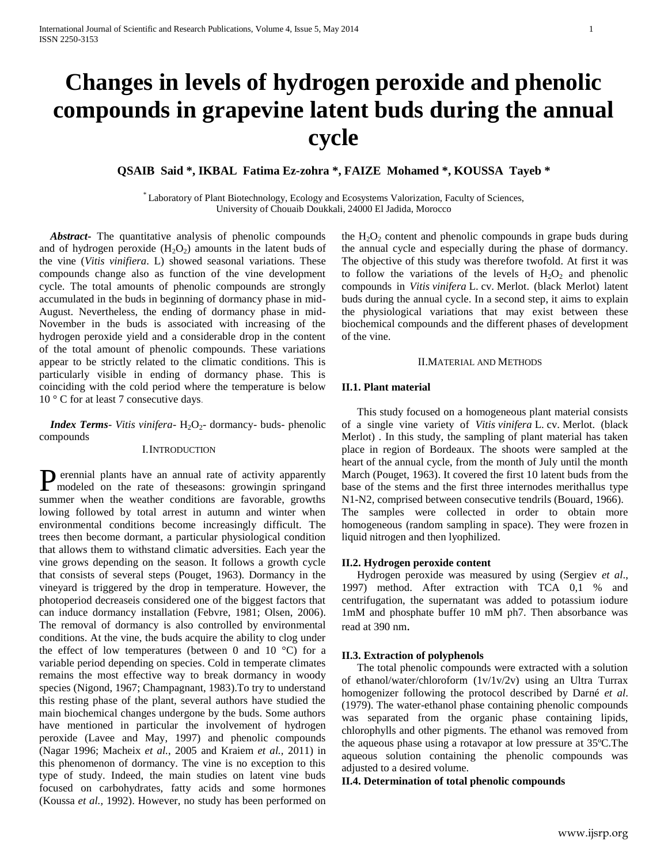# **Changes in levels of hydrogen peroxide and phenolic compounds in grapevine latent buds during the annual cycle**

# **QSAIB Said \*, IKBAL Fatima Ez-zohra \*, FAIZE Mohamed \*, KOUSSA Tayeb \***

\* Laboratory of Plant Biotechnology, Ecology and Ecosystems Valorization, Faculty of Sciences, University of Chouaib Doukkali, 24000 El Jadida, Morocco

 *Abstract***-** The quantitative analysis of phenolic compounds and of hydrogen peroxide  $(H_2O_2)$  amounts in the latent buds of the vine (*Vitis vinifiera*. L) showed seasonal variations. These compounds change also as function of the vine development cycle. The total amounts of phenolic compounds are strongly accumulated in the buds in beginning of dormancy phase in mid-August. Nevertheless, the ending of dormancy phase in mid-November in the buds is associated with increasing of the hydrogen peroxide yield and a considerable drop in the content of the total amount of phenolic compounds. These variations appear to be strictly related to the climatic conditions. This is particularly visible in ending of dormancy phase. This is coinciding with the cold period where the temperature is below 10 ° C for at least 7 consecutive days.

*Index Terms- Vitis vinifera-* H<sub>2</sub>O<sub>2</sub>- dormancy- buds- phenolic compounds

# I.INTRODUCTION

erennial plants have an annual rate of activity apparently Perennial plants have an annual rate of activity apparently modeled on the rate of theseasons: growingin springand summer when the weather conditions are favorable, growths lowing followed by total arrest in autumn and winter when environmental conditions become increasingly difficult. The trees then become dormant, a particular physiological condition that allows them to withstand climatic adversities. Each year the vine grows depending on the season. It follows a growth cycle that consists of several steps (Pouget, 1963). Dormancy in the vineyard is triggered by the drop in temperature. However, the photoperiod decreaseis considered one of the biggest factors that can induce dormancy installation (Febvre, 1981; Olsen, 2006). The removal of dormancy is also controlled by environmental conditions. At the vine, the buds acquire the ability to clog under the effect of low temperatures (between 0 and 10  $^{\circ}$ C) for a variable period depending on species. Cold in temperate climates remains the most effective way to break dormancy in woody species (Nigond, 1967; Champagnant, 1983).To try to understand this resting phase of the plant, several authors have studied the main biochemical changes undergone by the buds. Some authors have mentioned in particular the involvement of hydrogen peroxide (Lavee and May, 1997) and phenolic compounds (Nagar 1996; Macheix *et al.*, 2005 and Kraiem *et al.,* 2011) in this phenomenon of dormancy. The vine is no exception to this type of study. Indeed, the main studies on latent vine buds focused on carbohydrates, fatty acids and some hormones (Koussa *et al.,* 1992). However, no study has been performed on

the  $H_2O_2$  content and phenolic compounds in grape buds during the annual cycle and especially during the phase of dormancy. The objective of this study was therefore twofold. At first it was to follow the variations of the levels of  $H_2O_2$  and phenolic compounds in *Vitis vinifera* L. cv. Merlot. (black Merlot) latent buds during the annual cycle. In a second step, it aims to explain the physiological variations that may exist between these biochemical compounds and the different phases of development of the vine.

# II.MATERIAL AND METHODS

# **II.1. Plant material**

This study focused on a homogeneous plant material consists of a single vine variety of *Vitis vinifera* L. cv. Merlot. (black Merlot) . In this study, the sampling of plant material has taken place in region of Bordeaux. The shoots were sampled at the heart of the annual cycle, from the month of July until the month March (Pouget, 1963). It covered the first 10 latent buds from the base of the stems and the first three internodes merithallus type N1-N2, comprised between consecutive tendrils (Bouard, 1966). The samples were collected in order to obtain more homogeneous (random sampling in space). They were frozen in liquid nitrogen and then lyophilized.

# **II.2. Hydrogen peroxide content**

Hydrogen peroxide was measured by using (Sergiev *et al*., 1997) method. After extraction with TCA 0,1 % and centrifugation, the supernatant was added to potassium iodure 1mM and phosphate buffer 10 mM ph7. Then absorbance was read at 390 nm.

### **II.3. Extraction of polyphenols**

The total phenolic compounds were extracted with a solution of ethanol/water/chloroform (1v/1v/2v) using an Ultra Turrax homogenizer following the protocol described by Darné *et al*. (1979). The water-ethanol phase containing phenolic compounds was separated from the organic phase containing lipids, chlorophylls and other pigments. The ethanol was removed from the aqueous phase using a rotavapor at low pressure at 35ºC.The aqueous solution containing the phenolic compounds was adjusted to a desired volume.

# **II.4. Determination of total phenolic compounds**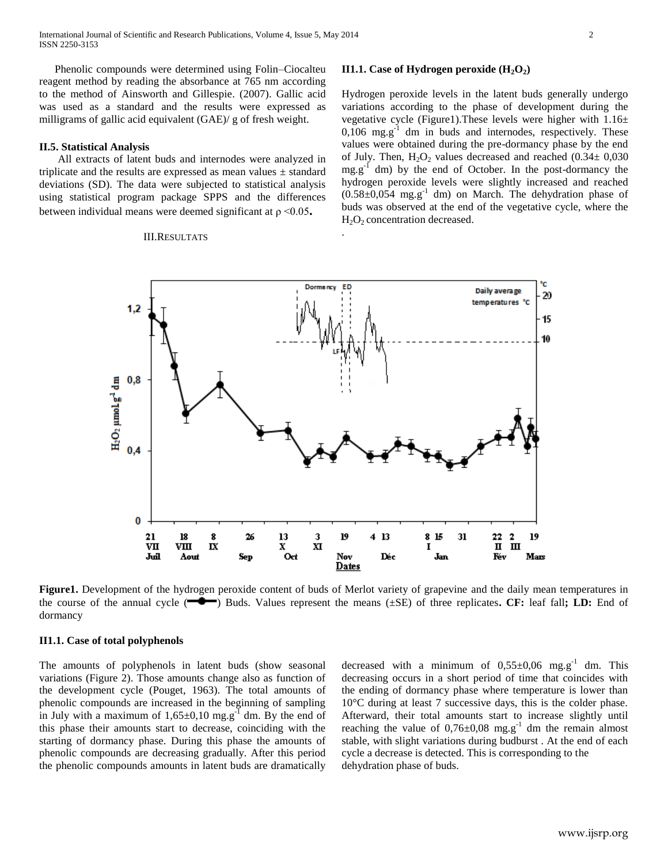Phenolic compounds were determined using Folin–Ciocalteu reagent method by reading the absorbance at 765 nm according to the method of Ainsworth and Gillespie. (2007). Gallic acid was used as a standard and the results were expressed as milligrams of gallic acid equivalent (GAE)/ g of fresh weight.

# **II.5. Statistical Analysis**

All extracts of latent buds and internodes were analyzed in triplicate and the results are expressed as mean values  $\pm$  standard deviations (SD). The data were subjected to statistical analysis using statistical program package SPPS and the differences between individual means were deemed significant at ρ <0.05**.**

#### III.RESULTATS

#### **II1.1.** Case of Hydrogen peroxide  $(H_2O_2)$

Hydrogen peroxide levels in the latent buds generally undergo variations according to the phase of development during the vegetative cycle (Figure1).These levels were higher with 1.16±  $0,106$  mg.g<sup>-1</sup> dm in buds and internodes, respectively. These values were obtained during the pre-dormancy phase by the end of July. Then,  $H_2O_2$  values decreased and reached (0.34 $\pm$  0,030  $mg.g^{-1}$  dm) by the end of October. In the post-dormancy the hydrogen peroxide levels were slightly increased and reached  $(0.58\pm0.054 \text{ mg} \cdot \text{g}^{-1} \text{ dm})$  on March. The dehydration phase of buds was observed at the end of the vegetative cycle, where the  $H<sub>2</sub>O<sub>2</sub>$  concentration decreased.



.

**Figure1.** Development of the hydrogen peroxide content of buds of Merlot variety of grapevine and the daily mean temperatures in the course of the annual cycle (**CO**) Buds. Values represent the means (±SE) of three replicates. CF: leaf fall; LD: End of dormancy

# **II1.1. Case of total polyphenols**

The amounts of polyphenols in latent buds (show seasonal variations (Figure 2). Those amounts change also as function of the development cycle (Pouget, 1963). The total amounts of phenolic compounds are increased in the beginning of sampling in July with a maximum of  $1,65\pm0,10$  mg.g<sup>-1</sup> dm. By the end of this phase their amounts start to decrease, coinciding with the starting of dormancy phase. During this phase the amounts of phenolic compounds are decreasing gradually. After this period the phenolic compounds amounts in latent buds are dramatically

decreased with a minimum of  $0.55 \pm 0.06$  mg.g<sup>-1</sup> dm. This decreasing occurs in a short period of time that coincides with the ending of dormancy phase where temperature is lower than 10°C during at least 7 successive days, this is the colder phase. Afterward, their total amounts start to increase slightly until reaching the value of  $0.76 \pm 0.08$  mg.g<sup>-1</sup> dm the remain almost stable, with slight variations during budburst . At the end of each cycle a decrease is detected. This is corresponding to the dehydration phase of buds.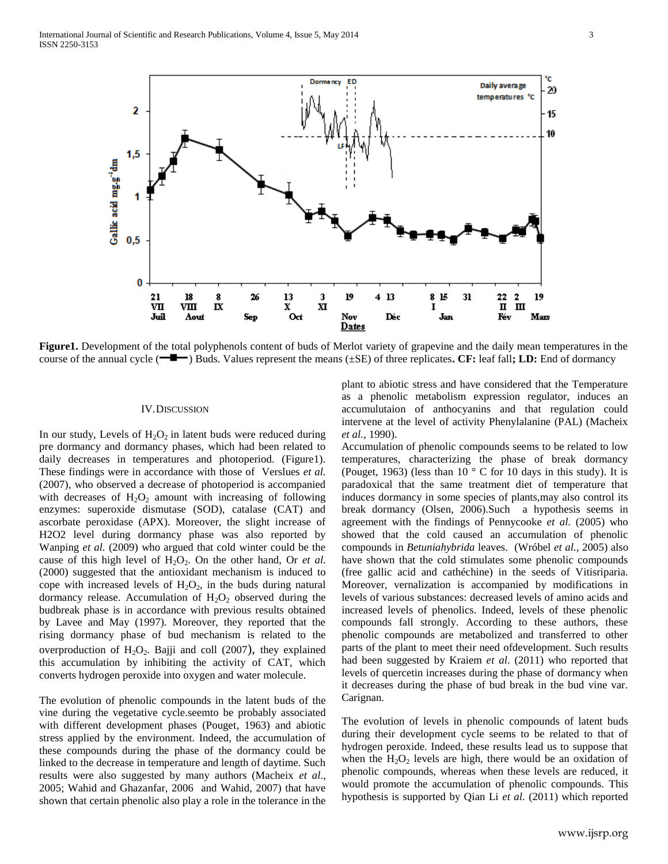

**Figure1.** Development of the total polyphenols content of buds of Merlot variety of grapevine and the daily mean temperatures in the course of the annual cycle (**---**) Buds. Values represent the means ( $\pm$ SE) of three replicates. **CF:** leaf fall**; LD:** End of dormancy

#### IV.DISCUSSION

In our study, Levels of  $H_2O_2$  in latent buds were reduced during pre dormancy and dormancy phases, which had been related to daily decreases in temperatures and photoperiod. (Figure1). These findings were in accordance with those of Verslues *et al.* (2007), who observed a decrease of photoperiod is accompanied with decreases of  $H_2O_2$  amount with increasing of following enzymes: superoxide dismutase (SOD), catalase (CAT) and ascorbate peroxidase (APX). Moreover, the slight increase of H2O2 level during dormancy phase was also reported by Wanping *et al.* (2009) who argued that cold winter could be the cause of this high level of  $H_2O_2$ . On the other hand, Or *et al.* (2000) suggested that the antioxidant mechanism is induced to cope with increased levels of  $H_2O_2$ , in the buds during natural dormancy release. Accumulation of  $H_2O_2$  observed during the budbreak phase is in accordance with previous results obtained by Lavee and May (1997). Moreover, they reported that the rising dormancy phase of bud mechanism is related to the overproduction of  $H_2O_2$ . Bajji and coll (2007), they explained this accumulation by inhibiting the activity of CAT, which converts hydrogen peroxide into oxygen and water molecule.

The evolution of phenolic compounds in the latent buds of the vine during the vegetative cycle.seemto be probably associated with different development phases (Pouget, 1963) and abiotic stress applied by the environment. Indeed, the accumulation of these compounds during the phase of the dormancy could be linked to the decrease in temperature and length of daytime. Such results were also suggested by many authors (Macheix *et al*., 2005; Wahid and Ghazanfar, 2006 and Wahid, 2007) that have shown that certain phenolic also play a role in the tolerance in the

plant to abiotic stress and have considered that the Temperature as a phenolic metabolism expression regulator, induces an accumulutaion of anthocyanins and that regulation could intervene at the level of activity Phenylalanine (PAL) (Macheix *et al.,* 1990).

Accumulation of phenolic compounds seems to be related to low temperatures, characterizing the phase of break dormancy (Pouget, 1963) (less than 10  $\degree$  C for 10 days in this study). It is paradoxical that the same treatment diet of temperature that induces dormancy in some species of plants,may also control its break dormancy (Olsen, 2006).Such a hypothesis seems in agreement with the findings of Pennycooke *et al.* (2005) who showed that the cold caused an accumulation of phenolic compounds in *Betuniahybrida* leaves. (Wróbel *et al.,* 2005) also have shown that the cold stimulates some phenolic compounds (free gallic acid and cathéchine) in the seeds of Vitisriparia. Moreover, vernalization is accompanied by modifications in levels of various substances: decreased levels of amino acids and increased levels of phenolics. Indeed, levels of these phenolic compounds fall strongly. According to these authors, these phenolic compounds are metabolized and transferred to other parts of the plant to meet their need ofdevelopment. Such results had been suggested by Kraiem *et al*. (2011) who reported that levels of quercetin increases during the phase of dormancy when it decreases during the phase of bud break in the bud vine var. Carignan.

The evolution of levels in phenolic compounds of latent buds during their development cycle seems to be related to that of hydrogen peroxide. Indeed, these results lead us to suppose that when the  $H_2O_2$  levels are high, there would be an oxidation of phenolic compounds, whereas when these levels are reduced, it would promote the accumulation of phenolic compounds. This hypothesis is supported by Qian Li *et al*. (2011) which reported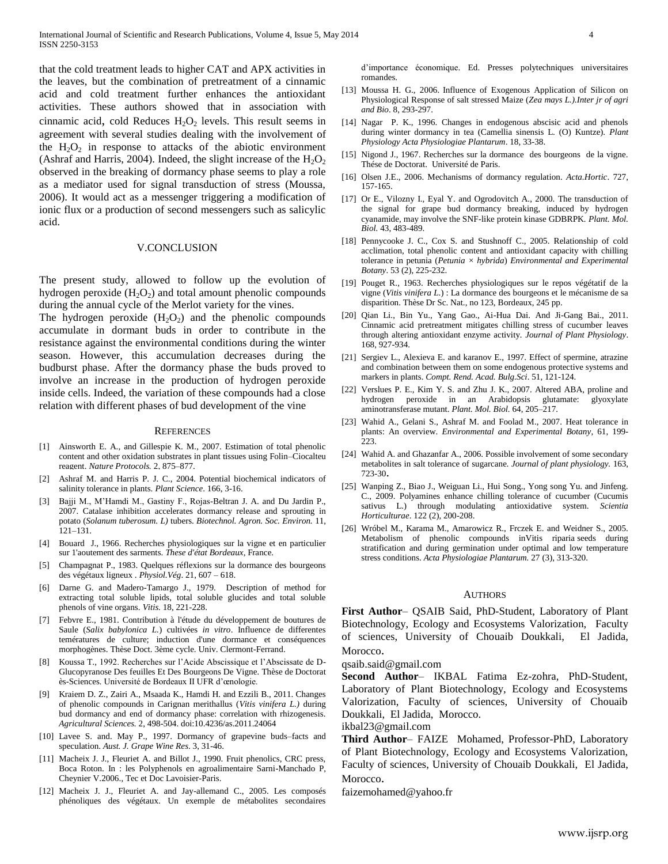that the cold treatment leads to higher CAT and APX activities in the leaves, but the combination of pretreatment of a cinnamic acid and cold treatment further enhances the antioxidant activities. These authors showed that in association with cinnamic acid, cold Reduces  $H_2O_2$  levels. This result seems in agreement with several studies dealing with the involvement of the  $H_2O_2$  in response to attacks of the abiotic environment (Ashraf and Harris, 2004). Indeed, the slight increase of the  $H_2O_2$ observed in the breaking of dormancy phase seems to play a role as a mediator used for signal transduction of stress (Moussa, 2006). It would act as a messenger triggering a modification of ionic flux or a production of second messengers such as salicylic acid.

#### V.CONCLUSION

The present study, allowed to follow up the evolution of hydrogen peroxide  $(H_2O_2)$  and total amount phenolic compounds during the annual cycle of the Merlot variety for the vines.

The hydrogen peroxide  $(H_2O_2)$  and the phenolic compounds accumulate in dormant buds in order to contribute in the resistance against the environmental conditions during the winter season. However, this accumulation decreases during the budburst phase. After the dormancy phase the buds proved to involve an increase in the production of hydrogen peroxide inside cells. Indeed, the variation of these compounds had a close relation with different phases of bud development of the vine

#### **REFERENCES**

- [1] Ainsworth E. A., and Gillespie K. M., 2007. Estimation of total phenolic content and other oxidation substrates in plant tissues using Folin–Ciocalteu reagent. *Nature Protocols.* 2, 875–877.
- [2] Ashraf M. and Harris P. J. C., 2004. Potential biochemical indicators of salinity tolerance in plants. *Plant Science*. 166, 3-16.
- [3] Bajji M., M'Hamdi M., Gastiny F., Rojas-Beltran J. A. and Du Jardin P., 2007. Catalase inhibition accelerates dormancy release and sprouting in potato (*Solanum tuberosum. L)* tubers. *Biotechnol. Agron. Soc. Environ.* 11, 121–131.
- [4] Bouard J., 1966. Recherches physiologiques sur la vigne et en particulier sur 1'aoutement des sarments. *These d'état Bordeaux*, France.
- [5] Champagnat P., 1983. Quelques réflexions sur la dormance des bourgeons des végétaux ligneux . *Physiol.Vég*. 21, 607 – 618.
- [6] Darne G. and Madero-Tamargo J., 1979. Description of method for extracting total soluble lipids, total soluble glucides and total soluble phenols of vine organs. *Vitis.* 18, 221-228.
- [7] Febvre E., 1981. Contribution à l'étude du développement de boutures de Saule (*Salix babylonica L.*) cultivées *in vitro*. Influence de differentes temératures de culture; induction d'une dormance et conséquences morphogènes. Thèse Doct. 3ème cycle. Univ. Clermont-Ferrand.
- [8] Koussa T., 1992. Recherches sur l'Acide Abscissique et l'Abscissate de D-Glucopyranose Des feuilles Et Des Bourgeons De Vigne*.* Thèse de Doctorat ès-Sciences*.* Université de Bordeaux II UFR d'œnologie.
- [9] Kraiem D. Z., Zairi A., Msaada K., Hamdi H. and Ezzili B., 2011. Changes of phenolic compounds in Carignan merithallus (*Vitis vinifera L.)* during bud dormancy and end of dormancy phase: correlation with rhizogenesis. *Agricultural Sciences.* 2, 498-504. doi:10.4236/as.2011.24064
- [10] Lavee S. and. May P., 1997. Dormancy of grapevine buds–facts and speculation. *Aust. J. Grape Wine Res*. 3, 31-46.
- [11] Macheix J. J., Fleuriet A. and Billot J., 1990. Fruit phenolics, CRC press, Boca Roton. In : les Polyphenols en agroalimentaire Sarni-Manchado P, Cheynier V.2006., Tec et Doc Lavoisier-Paris.
- [12] Macheix J. J., Fleuriet A. and Jay-allemand C., 2005. Les composés phénoliques des végétaux. Un exemple de métabolites secondaires

d'importance économique. Ed. Presses polytechniques universitaires romandes.

- [13] Moussa H. G., 2006. Influence of Exogenous Application of Silicon on Physiological Response of salt stressed Maize (*Zea mays L.).Inter jr of agri and Bio*. 8, 293-297.
- [14] Nagar P. K., 1996. Changes in endogenous abscisic acid and phenols during winter dormancy in tea (Camellia sinensis L. (O) Kuntze). *Plant Physiology Acta Physiologiae Plantarum*. 18, 33-38.
- [15] Nigond J., 1967. Recherches sur la dormance des bourgeons de la vigne. Thése de Doctorat. Université de Paris.
- [16] Olsen J.E., 2006. Mechanisms of dormancy regulation. *Acta.Hortic*. 727, 157-165.
- [17] Or E., Vilozny I., Eyal Y. and Ogrodovitch A., 2000. The transduction of the signal for grape bud dormancy breaking, induced by hydrogen cyanamide, may involve the SNF-like protein kinase GDBRPK*. Plant. Mol. Biol.* 43, 483-489.
- [18] Pennycooke J. C., Cox S. and Stushnoff C., 2005. Relationship of cold acclimation, total phenolic content and antioxidant capacity with chilling tolerance in petunia (*Petunia × hybrida*) *[Environmental and Experimental](http://www.sciencedirect.com/science/journal/00988472)  [Botany](http://www.sciencedirect.com/science/journal/00988472)*. [53 \(2\)](http://www.sciencedirect.com/science?_ob=PublicationURL&_tockey=%23TOC%235022%232005%23999469997%23570441%23FLA%23&_cdi=5022&_pubType=J&view=c&_auth=y&_acct=C000050221&_version=1&_urlVersion=0&_userid=10&md5=bf6471369ee65f6b28e8d102389785b7), 225-232.
- [19] Pouget R., 1963. Recherches physiologiques sur le repos végétatif de la vigne (*Vitis vinifera L*.) : La dormance des bourgeons et le mécanisme de sa disparition. Thèse Dr Sc. Nat., no 123, Bordeaux, 245 pp.
- [20] Qian Li., Bin Yu., Yang Gao., Ai-Hua Dai. And Ji-Gang Bai., 2011. Cinnamic acid pretreatment mitigates chilling stress of cucumber leaves through altering antioxidant enzyme activity*. [Journal of Plant Physiology](http://www.sciencedirect.com/science/journal/01761617)*. 168, 927-934.
- [21] Sergiev L., Alexieva E. and karanov E., 1997. Effect of spermine, atrazine and combination between them on some endogenous protective systems and markers in plants. *Compt. Rend. Acad. Bulg.Sci*. 51, 121-124.
- [22] Verslues P. E., Kim Y. S. and Zhu J. K., 2007. Altered ABA, proline and hydrogen peroxide in an Arabidopsis glutamate: glyoxylate aminotransferase mutant. *Plant. Mol. Biol.* 64, 205–217.
- [23] Wahid A., Gelani S., Ashraf M. and Foolad M., 2007. Heat tolerance in plants: An overview. *Environmental and Experimental Botany*, 61, 199- 223.
- [24] Wahid A. and Ghazanfar A., 2006. Possible involvement of some secondary metabolites in salt tolerance of sugarcane*. Journal of plant physiology.* 163, 723-30.
- [25] Wanping Z., Biao J., Weiguan Li., Hui Song., Yong song Yu. and Jinfeng. C., 2009. Polyamines enhance chilling tolerance of cucumber (Cucumis sativus L.) through modulating antioxidative system. *Scientia Horticulturae*. 122 (2), 200-208.
- [26] Wróbel M., Karama M., Amarowicz R., Frczek E. and Weidner S., 2005. Metabolism of phenolic compounds inVitis riparia seeds during stratification and during germination under optimal and low temperature stress conditions. *[Acta Physiologiae](http://link.springer.com/journal/11738) Plantarum.* 2[7 \(3\)](http://link.springer.com/journal/11738/27/3/page/1), 313-320.

#### AUTHORS

**First Author**– QSAIB Said, PhD-Student, Laboratory of Plant Biotechnology, Ecology and Ecosystems Valorization, Faculty of sciences, University of Chouaib Doukkali, El Jadida, Morocco.

qsaib.said@gmail.com

**Second Author**– IKBAL Fatima Ez-zohra, PhD-Student, Laboratory of Plant Biotechnology, Ecology and Ecosystems Valorization, Faculty of sciences, University of Chouaib Doukkali, El Jadida, Morocco.

ikbal23@gmail.com

**Third Author**– FAIZE Mohamed, Professor-PhD, Laboratory of Plant Biotechnology, Ecology and Ecosystems Valorization, Faculty of sciences, University of Chouaib Doukkali, El Jadida, Morocco.

faizemohamed@yahoo.fr